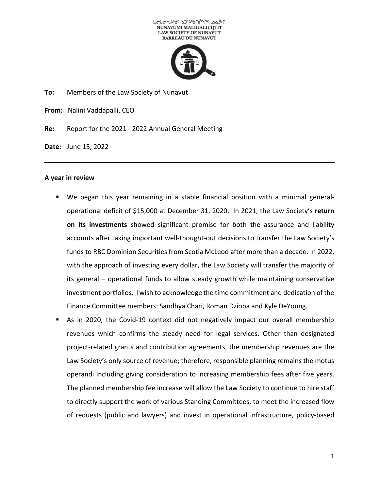



**To:** Members of the Law Society of Nunavut

**From:** Nalini Vaddapalli, CEO

**Re:** Report for the 2021 - 2022 Annual General Meeting

**Date:** June 15, 2022

## **A year in review**

- We began this year remaining in a stable financial position with a minimal generaloperational deficit of \$15,000 at December 31, 2020. In 2021, the Law Society's **return on its investments** showed significant promise for both the assurance and liability accounts after taking important well-thought-out decisions to transfer the Law Society's funds to RBC Dominion Securities from Scotia McLeod after more than a decade. In 2022, with the approach of investing every dollar, the Law Society will transfer the majority of its general – operational funds to allow steady growth while maintaining conservative investment portfolios. I wish to acknowledge the time commitment and dedication of the Finance Committee members: Sandhya Chari, Roman Dzioba and Kyle DeYoung.
- As in 2020, the Covid-19 context did not negatively impact our overall membership revenues which confirms the steady need for legal services. Other than designated project-related grants and contribution agreements, the membership revenues are the Law Society's only source of revenue; therefore, responsible planning remains the motus operandi including giving consideration to increasing membership fees after five years. The planned membership fee increase will allow the Law Society to continue to hire staff to directly support the work of various Standing Committees, to meet the increased flow of requests (public and lawyers) and invest in operational infrastructure, policy-based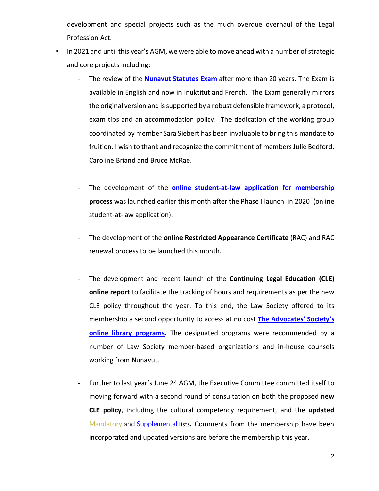development and special projects such as the much overdue overhaul of the Legal Profession Act.

- In 2021 and until this year's AGM, we were able to move ahead with a number of strategic and core projects including:
	- The review of the **[Nunavut Statutes Exam](https://www.lawsociety.nu.ca/en/bar-admission-course-and-examinations)** after more than 20 years. The Exam is available in English and now in Inuktitut and French. The Exam generally mirrors the original version and is supported by a robust defensible framework, a protocol, exam tips and an accommodation policy. The dedication of the working group coordinated by member Sara Siebert has been invaluable to bring this mandate to fruition. I wish to thank and recognize the commitment of members Julie Bedford, Caroline Briand and Bruce McRae.
	- The development of the **[online student-at-law application for membership](https://www.lawsociety.nu.ca/en/student-application-membership)  process** was launched earlier this month after the Phase I launch in 2020 (online student-at-law application).
	- The development of the **online Restricted Appearance Certificate** (RAC) and RAC renewal process to be launched this month.
	- The development and recent launch of the **Continuing Legal Education (CLE) online report** to facilitate the tracking of hours and requirements as per the new CLE policy throughout the year. To this end, the Law Society offered to its membership a second opportunity to access at no cost **[The Advocates](https://www.lawsociety.nu.ca/en/news/final-reminder-cpd-online-programs-advocates-society)' Society's [online library programs.](https://www.lawsociety.nu.ca/en/news/final-reminder-cpd-online-programs-advocates-society)** The designated programs were recommended by a number of Law Society member-based organizations and in-house counsels working from Nunavut.
	- Further to last year's June 24 AGM, the Executive Committee committed itself to moving forward with a second round of consultation on both the proposed **new CLE policy**, including the cultural competency requirement, and the **updated**  [Mandatory](https://www.lawsociety.nu.ca/sites/default/files/AGM/Mandatory%20Reading%20List_June%202022.docx) and [Supplemental](https://www.lawsociety.nu.ca/sites/default/files/AGM/Supplemental%20Reading%20List_June%202022%20DRAFT.docx) lists**.** Comments from the membership have been incorporated and updated versions are before the membership this year.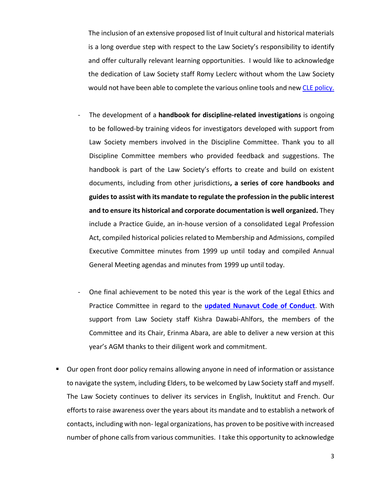The inclusion of an extensive proposed list of Inuit cultural and historical materials is a long overdue step with respect to the Law Society's responsibility to identify and offer culturally relevant learning opportunities. I would like to acknowledge the dedication of Law Society staff Romy Leclerc without whom the Law Society would not have been able to complete the various online tools and new [CLE policy.](https://www.lawsociety.nu.ca/sites/default/files/AGM/LSN%20Mandatory%20CLE%20Policy%20Nov%2029%202021.pdf)

- The development of a **handbook for discipline-related investigations** is ongoing to be followed-by training videos for investigators developed with support from Law Society members involved in the Discipline Committee. Thank you to all Discipline Committee members who provided feedback and suggestions. The handbook is part of the Law Society's efforts to create and build on existent documents, including from other jurisdictions**, a series of core handbooks and guides to assist with its mandate to regulate the profession in the public interest and to ensure its historical and corporate documentation is well organized.** They include a Practice Guide, an in-house version of a consolidated Legal Profession Act, compiled historical policies related to Membership and Admissions, compiled Executive Committee minutes from 1999 up until today and compiled Annual General Meeting agendas and minutes from 1999 up until today.
- One final achievement to be noted this year is the work of the Legal Ethics and Practice Committee in regard to the **[updated Nunavut Code of Conduct](https://www.lawsociety.nu.ca/sites/default/files/AGM/NU%20Code%20of%20Conduct_Amended%20June%202022%20(Clean%20version)%20FINAL.pdf)**. With support from Law Society staff Kishra Dawabi-Ahlfors, the members of the Committee and its Chair, Erinma Abara, are able to deliver a new version at this year's AGM thanks to their diligent work and commitment.
- Our open front door policy remains allowing anyone in need of information or assistance to navigate the system, including Elders, to be welcomed by Law Society staff and myself. The Law Society continues to deliver its services in English, Inuktitut and French. Our efforts to raise awareness over the years about its mandate and to establish a network of contacts, including with non- legal organizations, has proven to be positive with increased number of phone calls from various communities. I take this opportunity to acknowledge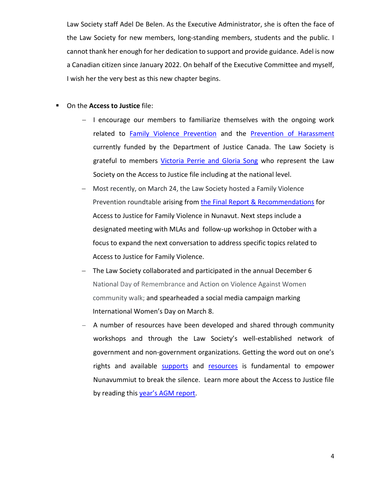Law Society staff Adel De Belen. As the Executive Administrator, she is often the face of the Law Society for new members, long-standing members, students and the public. I cannot thank her enough for her dedication to support and provide guidance. Adel is now a Canadian citizen since January 2022. On behalf of the Executive Committee and myself, I wish her the very best as this new chapter begins.

- **On the Access to Justice file:** 
	- − I encourage our members to familiarize themselves with the ongoing work related to [Family Violence Prevention](https://www.lawsociety.nu.ca/en/family-violence-prevention) and the [Prevention of Harassment](https://www.lawsociety.nu.ca/en/prevention-harassment) currently funded by the Department of Justice Canada. The Law Society is grateful to members [Victoria Perrie and Gloria Song](https://www.lawsociety.nu.ca/sites/default/files/public/Newsletter_Polar_Barristers/summer_2021/Access-to-Justice-Update-FINAL.pdf) who represent the Law Society on the Access to Justice file including at the national level.
	- − Most recently, on March 24, the Law Society hosted a Family Violence Prevention roundtable arising from [the Final Report & Recommendations](https://www.lawsociety.nu.ca/sites/default/files/News/Public%20Notices/LSN_FAIA%20Final%20Public%20Report_Dec%2015%202021.pdf) for Access to Justice for Family Violence in Nunavut. Next steps include a designated meeting with MLAs and follow-up workshop in October with a focus to expand the next conversation to address specific topics related to Access to Justice for Family Violence.
	- − The Law Society collaborated and participated in the annual December 6 National Day of Remembrance and Action on Violence Against Women community walk; and spearheaded a social media campaign marking International Women's Day on March 8.
	- − A number of resources have been developed and shared through community workshops and through the Law Society's well-established network of government and non-government organizations. Getting the word out on one's rights and available [supports](https://www.lawsociety.nu.ca/en/family-violence-prevention-resources) and [resources](https://www.lawsociety.nu.ca/en/prevention-harassment-resources) is fundamental to empower Nunavummiut to break the silence. Learn more about the Access to Justice file by reading this year'[s AGM report.](https://www.lawsociety.nu.ca/sites/default/files/News/General-Meetings/LSN%202021-22%20AGM%20Report%20A2J_June%202022%20Final%20En.pdf)